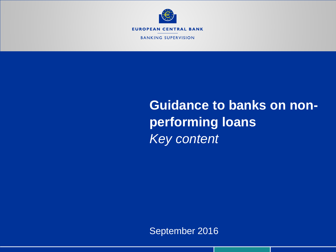

**BANKING SUPERVISION** 

# **Guidance to banks on nonperforming loans** *Key content*

September 2016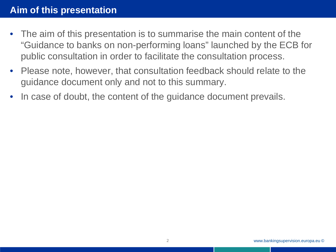- The aim of this presentation is to summarise the main content of the "Guidance to banks on non-performing loans" launched by the ECB for public consultation in order to facilitate the consultation process.
- Please note, however, that consultation feedback should relate to the guidance document only and not to this summary.
- In case of doubt, the content of the guidance document prevails.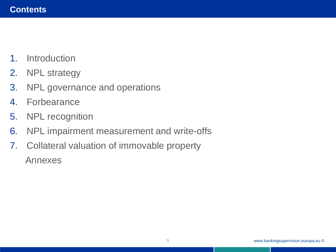- 1. Introduction
- 2. NPL strategy
- 3. NPL governance and operations
- 4. Forbearance
- 5. NPL recognition
- 6. NPL impairment measurement and write-offs
- 7. Collateral valuation of immovable property Annexes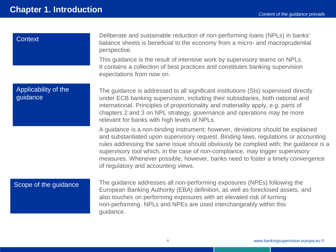| <b>Context</b>                   | Deliberate and sustainable reduction of non-performing loans (NPLs) in banks'<br>balance sheets is beneficial to the economy from a micro- and macroprudential<br>perspective.<br>This guidance is the result of intensive work by supervisory teams on NPLs.<br>It contains a collection of best practices and constitutes banking supervision<br>expectations from now on.                                                                                               |
|----------------------------------|----------------------------------------------------------------------------------------------------------------------------------------------------------------------------------------------------------------------------------------------------------------------------------------------------------------------------------------------------------------------------------------------------------------------------------------------------------------------------|
| Applicability of the<br>guidance | The guidance is addressed to all significant institutions (SIs) supervised directly<br>under ECB banking supervision, including their subsidiaries, both national and<br>international. Principles of proportionality and materiality apply, e.g. parts of<br>chapters 2 and 3 on NPL strategy, governance and operations may be more<br>relevant for banks with high levels of NPLs.                                                                                      |
|                                  | A guidance is a non-binding instrument; however, deviations should be explained<br>and substantiated upon supervisory request. Binding laws, regulations or accounting<br>rules addressing the same issue should obviously be complied with; the guidance is a<br>supervisory tool which, in the case of non-compliance, may trigger supervisory<br>measures. Whenever possible, however, banks need to foster a timely convergence<br>of regulatory and accounting views. |
| Scope of the guidance            | The guidance addresses all non-performing exposures (NPEs) following the<br>European Banking Authority (EBA) definition, as well as foreclosed assets, and<br>also touches on performing exposures with an elevated risk of turning<br>non-performing. NPLs and NPEs are used interchangeably within this<br>guidance.                                                                                                                                                     |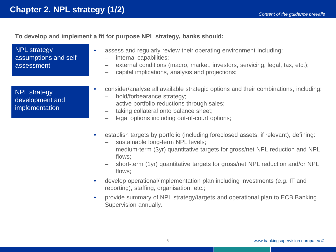**To develop and implement a fit for purpose NPL strategy, banks should:**

NPL strategy assumptions and self assessment

NPL strategy development and implementation

- assess and regularly review their operating environment including:
	- internal capabilities;
	- external conditions (macro, market, investors, servicing, legal, tax, etc.);
	- capital implications, analysis and projections;
- consider/analyse all available strategic options and their combinations, including:
	- hold/forbearance strategy;
	- active portfolio reductions through sales;
	- taking collateral onto balance sheet;
	- legal options including out-of-court options;
- establish targets by portfolio (including foreclosed assets, if relevant), defining:
	- sustainable long-term NPL levels;
	- medium-term (3yr) quantitative targets for gross/net NPL reduction and NPL flows;
	- short-term (1yr) quantitative targets for gross/net NPL reduction and/or NPL flows;
- develop operational/implementation plan including investments (e.g. IT and reporting), staffing, organisation, etc.;
- provide summary of NPL strategy/targets and operational plan to ECB Banking Supervision annually.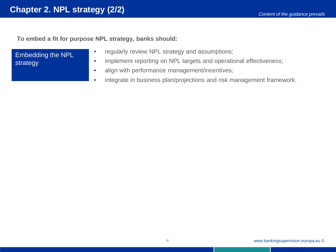**To embed a fit for purpose NPL strategy, banks should:**

Embedding the NPL strategy

- regularly review NPL strategy and assumptions;
- implement reporting on NPL targets and operational effectiveness;
- align with performance management/incentives;
- integrate in business plan/projections and risk management framework.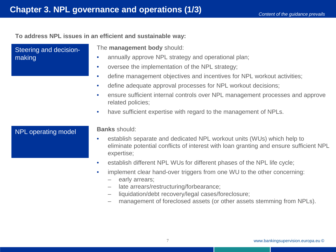**To address NPL issues in an efficient and sustainable way:**

Steering and decisionmaking The **management body** should: • annually approve NPL strategy and operational plan; • oversee the implementation of the NPL strategy; • define management objectives and incentives for NPL workout activities; • define adequate approval processes for NPL workout decisions; • ensure sufficient internal controls over NPL management processes and approve related policies; • have sufficient expertise with regard to the management of NPLs. **Banks** should: • establish separate and dedicated NPL workout units (WUs) which help to eliminate potential conflicts of interest with loan granting and ensure sufficient NPL expertise; • establish different NPL WUs for different phases of the NPL life cycle; • implement clear hand-over triggers from one WU to the other concerning: – early arrears; – late arrears/restructuring/forbearance; NPL operating model

- liquidation/debt recovery/legal cases/foreclosure;
- management of foreclosed assets (or other assets stemming from NPLs).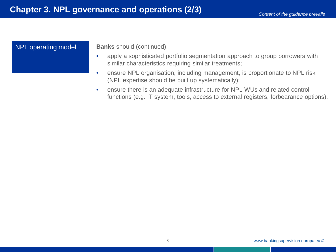#### NPL operating model

**Banks** should (continued):

- apply a sophisticated portfolio segmentation approach to group borrowers with similar characteristics requiring similar treatments;
- ensure NPL organisation, including management, is proportionate to NPL risk (NPL expertise should be built up systematically);
- ensure there is an adequate infrastructure for NPL WUs and related control functions (e.g. IT system, tools, access to external registers, forbearance options).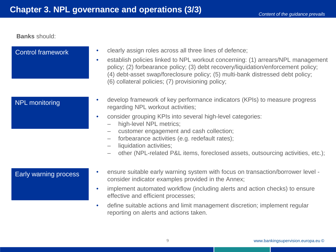**Banks** should:

| <b>Control framework</b> | clearly assign roles across all three lines of defence;<br>$\bullet$<br>establish policies linked to NPL workout concerning: (1) arrears/NPL management<br>$\bullet$<br>policy; (2) forbearance policy; (3) debt recovery/liquidation/enforcement policy;<br>(4) debt-asset swap/foreclosure policy; (5) multi-bank distressed debt policy;<br>(6) collateral policies; (7) provisioning policy;                                                 |
|--------------------------|--------------------------------------------------------------------------------------------------------------------------------------------------------------------------------------------------------------------------------------------------------------------------------------------------------------------------------------------------------------------------------------------------------------------------------------------------|
| <b>NPL monitoring</b>    | develop framework of key performance indicators (KPIs) to measure progress<br>$\bullet$<br>regarding NPL workout activities;<br>consider grouping KPIs into several high-level categories:<br>$\bullet$<br>high-level NPL metrics;<br>- customer engagement and cash collection;<br>forbearance activities (e.g. redefault rates);<br>liquidation activities;<br>other (NPL-related P&L items, foreclosed assets, outsourcing activities, etc.); |
| Early warning process    | ensure suitable early warning system with focus on transaction/borrower level -<br>$\bullet$<br>consider indicator examples provided in the Annex;<br>implement automated workflow (including alerts and action checks) to ensure<br>$\bullet$<br>effective and efficient processes;<br>define suitable actions and limit management discretion; implement regular<br>$\bullet$<br>reporting on alerts and actions taken.                        |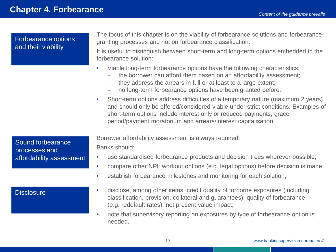Forbearance options and their viability

The focus of this chapter is on the viability of forbearance solutions and forbearancegranting processes and not on forbearance classification.

It is useful to distinguish between short-term and long-term options embedded in the forbearance solution:

- Viable long-term forbearance options have the following characteristics:
	- the borrower can afford them based on an affordability assessment;
	- they address the arrears in full or at least to a large extent;
	- no long-term forbearance options have been granted before.
- Short-term options address difficulties of a temporary nature (maximum 2 years) and should only be offered/considered viable under strict conditions. Examples of short-term options include interest only or reduced payments, grace period/payment moratorium and arrears/interest capitalisation.

Sound forbearance processes and affordability assessment

#### **Disclosure**

Borrower affordability assessment is always required.

Banks should:

- use standardised forbearance products and decision trees wherever possible;
- compare other NPL workout options (e.g. legal options) before decision is made;
- establish forbearance milestones and monitoring for each solution;
- disclose, among other items: credit quality of forborne exposures (including classification, provision, collateral and guarantees), quality of forbearance (e.g. redefault rates), net present value impact;
- note that supervisory reporting on exposures by type of forbearance option is needed.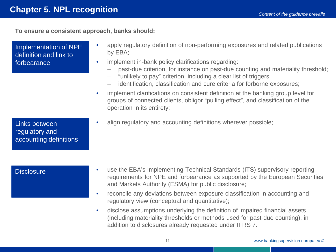**To ensure a consistent approach, banks should:**

| Implementation of NPE<br>definition and link to<br>forbearance | apply regulatory definition of non-performing exposures and related publications<br>by EBA;<br>implement in-bank policy clarifications regarding:<br>$\bullet$<br>past-due criterion, for instance on past-due counting and materiality threshold;<br>"unlikely to pay" criterion, including a clear list of triggers;<br>-<br>identification, classification and cure criteria for forborne exposures;<br>$\overline{\phantom{0}}$<br>implement clarifications on consistent definition at the banking group level for<br>$\bullet$<br>groups of connected clients, obligor "pulling effect", and classification of the<br>operation in its entirety; |
|----------------------------------------------------------------|--------------------------------------------------------------------------------------------------------------------------------------------------------------------------------------------------------------------------------------------------------------------------------------------------------------------------------------------------------------------------------------------------------------------------------------------------------------------------------------------------------------------------------------------------------------------------------------------------------------------------------------------------------|
| Links between<br>regulatory and<br>accounting definitions      | align regulatory and accounting definitions wherever possible;                                                                                                                                                                                                                                                                                                                                                                                                                                                                                                                                                                                         |
| <b>Disclosure</b>                                              | use the EBA's Implementing Technical Standards (ITS) supervisory reporting<br>$\bullet$<br>requirements for NPE and forbearance as supported by the European Securities<br>and Markets Authority (ESMA) for public disclosure;<br>reconcile any deviations between exposure classification in accounting and<br>$\bullet$<br>regulatory view (conceptual and quantitative);                                                                                                                                                                                                                                                                            |

• disclose assumptions underlying the definition of impaired financial assets (including materiality thresholds or methods used for past-due counting), in addition to disclosures already requested under IFRS 7.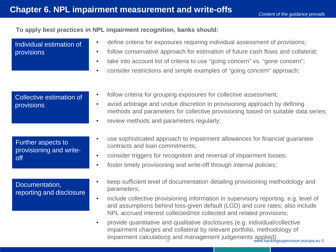12 m.m. monthly paragements www.bankingsupervision.europa.eu ©

#### To apply best practices in NPL impairment recognition, banks should:

| Individual estimation of<br>provisions               | define criteria for exposures requiring individual assessment of provisions;<br>$\bullet$<br>follow conservative approach for estimation of future cash flows and collateral;<br>$\bullet$<br>take into account list of criteria to use "going concern" vs. "gone concern";<br>$\bullet$<br>consider restrictions and simple examples of "going concern" approach; |
|------------------------------------------------------|--------------------------------------------------------------------------------------------------------------------------------------------------------------------------------------------------------------------------------------------------------------------------------------------------------------------------------------------------------------------|
| Collective estimation of<br>provisions               | follow criteria for grouping exposures for collective assessment;<br>$\bullet$<br>avoid arbitrage and undue discretion in provisioning approach by defining<br>$\bullet$<br>methods and parameters for collective provisioning based on suitable data series;<br>review methods and parameters regularly;<br>$\bullet$                                             |
| Further aspects to<br>provisioning and write-<br>off | use sophisticated approach to impairment allowances for financial guarantee<br>contracts and loan commitments;<br>consider triggers for recognition and reversal of impairment losses;<br>$\bullet$<br>foster timely provisioning and write-off through internal policies;<br>$\bullet$                                                                            |
| Documentation,<br>reporting and disclosure           | keep sufficient level of documentation detailing provisioning methodology and<br>parameters;<br>include collective provisioning information in supervisory reporting, e.g. level of<br>$\bullet$<br>and assumptions behind loss-given default (LGD) and cure rates; also include<br>NPL accrued interest collected/not collected and related provisions;           |
|                                                      | provide quantitative and qualitative disclosures (e.g. individual/collective<br>$\bullet$<br>impairment charges and collateral by relevant portfolio, methodology of                                                                                                                                                                                               |

impairment calculations and management judgements applied).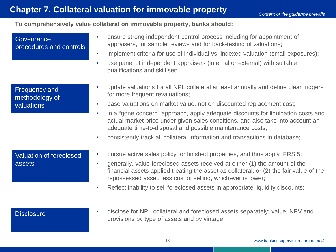## **Chapter 7. Collateral valuation for immovable property**

### **To comprehensively value collateral on immovable property, banks should:**

| Governance,<br>procedures and controls               | ensure strong independent control process including for appointment of<br>$\bullet$<br>appraisers, for sample reviews and for back-testing of valuations;<br>implement criteria for use of individual vs. indexed valuation (small exposures);<br>$\bullet$<br>use panel of independent appraisers (internal or external) with suitable<br>$\bullet$<br>qualifications and skill set;                                                                                                                                                                                  |
|------------------------------------------------------|------------------------------------------------------------------------------------------------------------------------------------------------------------------------------------------------------------------------------------------------------------------------------------------------------------------------------------------------------------------------------------------------------------------------------------------------------------------------------------------------------------------------------------------------------------------------|
| <b>Frequency and</b><br>methodology of<br>valuations | update valuations for all NPL collateral at least annually and define clear triggers<br>$\bullet$<br>for more frequent revaluations;<br>base valuations on market value, not on discounted replacement cost;<br>$\bullet$<br>in a "gone concern" approach, apply adequate discounts for liquidation costs and<br>$\bullet$<br>actual market price under given sales conditions, and also take into account an<br>adequate time-to-disposal and possible maintenance costs;<br>consistently track all collateral information and transactions in database;<br>$\bullet$ |
| <b>Valuation of foreclosed</b><br>assets             | pursue active sales policy for finished properties, and thus apply IFRS 5;<br>$\bullet$<br>generally, value foreclosed assets received at either (1) the amount of the<br>$\bullet$<br>financial assets applied treating the asset as collateral, or (2) the fair value of the<br>repossessed asset, less cost of selling, whichever is lower;<br>Reflect inability to sell foreclosed assets in appropriate liquidity discounts;<br>$\bullet$                                                                                                                         |
| <b>Disclosure</b>                                    | disclose for NPL collateral and foreclosed assets separately: value, NPV and<br>$\bullet$<br>provisions by type of assets and by vintage.                                                                                                                                                                                                                                                                                                                                                                                                                              |